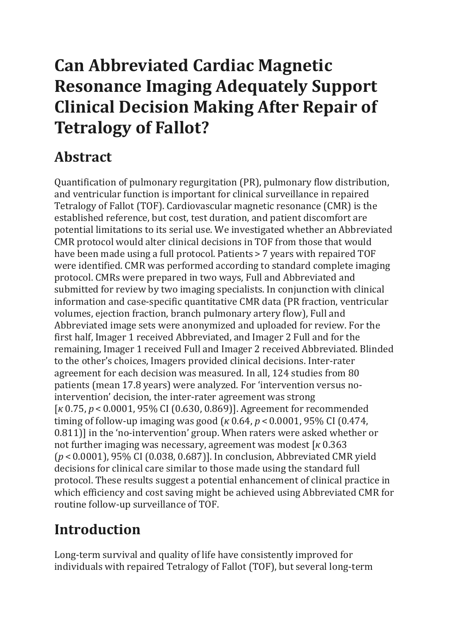# **Can Abbreviated Cardiac Magnetic Resonance Imaging Adequately Support Clinical Decision Making After Repair of Tetralogy of Fallot?**

# **Abstract**

Quantification of pulmonary regurgitation (PR), pulmonary flow distribution, and ventricular function is important for clinical surveillance in repaired Tetralogy of Fallot (TOF). Cardiovascular magnetic resonance (CMR) is the established reference, but cost, test duration, and patient discomfort are potential limitations to its serial use. We investigated whether an Abbreviated CMR protocol would alter clinical decisions in TOF from those that would have been made using a full protocol. Patients > 7 years with repaired TOF were identified. CMR was performed according to standard complete imaging protocol. CMRs were prepared in two ways, Full and Abbreviated and submitted for review by two imaging specialists. In conjunction with clinical information and case-specific quantitative CMR data (PR fraction, ventricular volumes, ejection fraction, branch pulmonary artery flow), Full and Abbreviated image sets were anonymized and uploaded for review. For the first half, Imager 1 received Abbreviated, and Imager 2 Full and for the remaining, Imager 1 received Full and Imager 2 received Abbreviated. Blinded to the other's choices, Imagers provided clinical decisions. Inter-rater agreement for each decision was measured. In all, 124 studies from 80 patients (mean 17.8 years) were analyzed. For 'intervention versus nointervention' decision, the inter-rater agreement was strong [*κ* 0.75, *p* < 0.0001, 95% CI (0.630, 0.869)]. Agreement for recommended timing of follow-up imaging was good (*κ* 0.64, *p* < 0.0001, 95% CI (0.474, 0.811)] in the 'no-intervention' group. When raters were asked whether or not further imaging was necessary, agreement was modest [*κ* 0.363 (*p* < 0.0001), 95% CI (0.038, 0.687)]. In conclusion, Abbreviated CMR yield decisions for clinical care similar to those made using the standard full protocol. These results suggest a potential enhancement of clinical practice in which efficiency and cost saving might be achieved using Abbreviated CMR for routine follow-up surveillance of TOF.

# **Introduction**

Long-term survival and quality of life have consistently improved for individuals with repaired Tetralogy of Fallot (TOF), but several long-term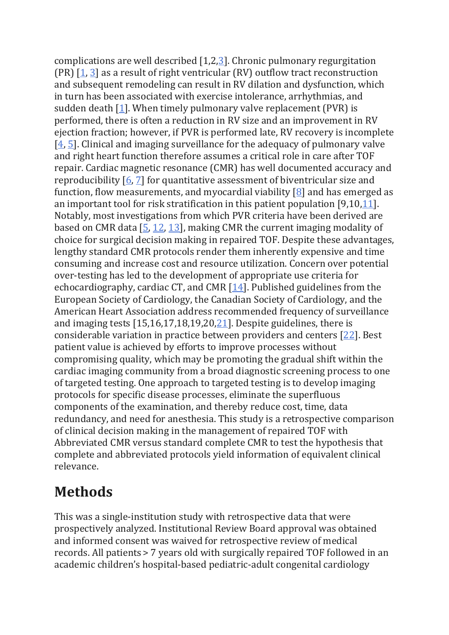complications are well described [1,2[,3\]](safari-reader://link.springer.com/article/10.1007/s00246-018-2035-0#ref-CR3). Chronic pulmonary regurgitation (PR)  $[1, 3]$  $[1, 3]$  $[1, 3]$  as a result of right ventricular (RV) outflow tract reconstruction and subsequent remodeling can result in RV dilation and dysfunction, which in turn has been associated with exercise intolerance, arrhythmias, and sudden death  $[1]$ . When timely pulmonary valve replacement (PVR) is performed, there is often a reduction in RV size and an improvement in RV ejection fraction; however, if PVR is performed late, RV recovery is incomplete [\[4,](safari-reader://link.springer.com/article/10.1007/s00246-018-2035-0#ref-CR4) [5\]](safari-reader://link.springer.com/article/10.1007/s00246-018-2035-0#ref-CR5). Clinical and imaging surveillance for the adequacy of pulmonary valve and right heart function therefore assumes a critical role in care after TOF repair. Cardiac magnetic resonance (CMR) has well documented accuracy and reproducibility [\[6,](safari-reader://link.springer.com/article/10.1007/s00246-018-2035-0#ref-CR6) [7\]](safari-reader://link.springer.com/article/10.1007/s00246-018-2035-0#ref-CR7) for quantitative assessment of biventricular size and function, flow measurements, and myocardial viability  $[8]$  and has emerged as an important tool for risk stratification in this patient population [9,10[,11\]](safari-reader://link.springer.com/article/10.1007/s00246-018-2035-0#ref-CR11). Notably, most investigations from which PVR criteria have been derived are based on CMR data  $[5, 12, 13]$  $[5, 12, 13]$  $[5, 12, 13]$  $[5, 12, 13]$  $[5, 12, 13]$ , making CMR the current imaging modality of choice for surgical decision making in repaired TOF. Despite these advantages, lengthy standard CMR protocols render them inherently expensive and time consuming and increase cost and resource utilization. Concern over potential over-testing has led to the development of appropriate use criteria for echocardiography, cardiac CT, and CMR  $[14]$ . Published guidelines from the European Society of Cardiology, the Canadian Society of Cardiology, and the American Heart Association address recommended frequency of surveillance and imaging tests  $[15,16,17,18,19,20,21]$  $[15,16,17,18,19,20,21]$ . Despite guidelines, there is considerable variation in practice between providers and centers [\[22\]](safari-reader://link.springer.com/article/10.1007/s00246-018-2035-0#ref-CR22). Best patient value is achieved by efforts to improve processes without compromising quality, which may be promoting the gradual shift within the cardiac imaging community from a broad diagnostic screening process to one of targeted testing. One approach to targeted testing is to develop imaging protocols for specific disease processes, eliminate the superfluous components of the examination, and thereby reduce cost, time, data redundancy, and need for anesthesia. This study is a retrospective comparison of clinical decision making in the management of repaired TOF with Abbreviated CMR versus standard complete CMR to test the hypothesis that complete and abbreviated protocols yield information of equivalent clinical relevance.

# **Methods**

This was a single-institution study with retrospective data that were prospectively analyzed. Institutional Review Board approval was obtained and informed consent was waived for retrospective review of medical records. All patients > 7 years old with surgically repaired TOF followed in an academic children's hospital-based pediatric-adult congenital cardiology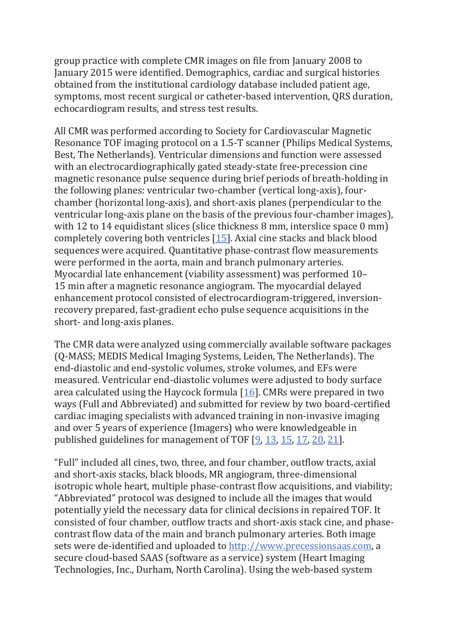group practice with complete CMR images on file from January 2008 to January 2015 were identified. Demographics, cardiac and surgical histories obtained from the institutional cardiology database included patient age, symptoms, most recent surgical or catheter-based intervention, QRS duration, echocardiogram results, and stress test results.

All CMR was performed according to Society for Cardiovascular Magnetic Resonance TOF imaging protocol on a 1.5-T scanner (Philips Medical Systems, Best, The Netherlands). Ventricular dimensions and function were assessed with an electrocardiographically gated steady-state free-precession cine magnetic resonance pulse sequence during brief periods of breath-holding in the following planes: ventricular two-chamber (vertical long-axis), fourchamber (horizontal long-axis), and short-axis planes (perpendicular to the ventricular long-axis plane on the basis of the previous four-chamber images), with 12 to 14 equidistant slices (slice thickness 8 mm, interslice space 0 mm) completely covering both ventricles [\[15\]](safari-reader://link.springer.com/article/10.1007/s00246-018-2035-0#ref-CR15). Axial cine stacks and black blood sequences were acquired. Quantitative phase-contrast flow measurements were performed in the aorta, main and branch pulmonary arteries. Myocardial late enhancement (viability assessment) was performed 10– 15 min after a magnetic resonance angiogram. The myocardial delayed enhancement protocol consisted of electrocardiogram-triggered, inversionrecovery prepared, fast-gradient echo pulse sequence acquisitions in the short- and long-axis planes.

The CMR data were analyzed using commercially available software packages (Q-MASS; MEDIS Medical Imaging Systems, Leiden, The Netherlands). The end-diastolic and end-systolic volumes, stroke volumes, and EFs were measured. Ventricular end-diastolic volumes were adjusted to body surface area calculated using the Haycock formula [\[16\]](safari-reader://link.springer.com/article/10.1007/s00246-018-2035-0#ref-CR16). CMRs were prepared in two ways (Full and Abbreviated) and submitted for review by two board-certified cardiac imaging specialists with advanced training in non-invasive imaging and over 5 years of experience (Imagers) who were knowledgeable in published guidelines for management of TOF [\[9,](safari-reader://link.springer.com/article/10.1007/s00246-018-2035-0#ref-CR9) [13,](safari-reader://link.springer.com/article/10.1007/s00246-018-2035-0#ref-CR13) [15,](safari-reader://link.springer.com/article/10.1007/s00246-018-2035-0#ref-CR15) [17,](safari-reader://link.springer.com/article/10.1007/s00246-018-2035-0#ref-CR17) [20,](safari-reader://link.springer.com/article/10.1007/s00246-018-2035-0#ref-CR20) [21\]](safari-reader://link.springer.com/article/10.1007/s00246-018-2035-0#ref-CR21).

"Full" included all cines, two, three, and four chamber, outflow tracts, axial and short-axis stacks, black bloods, MR angiogram, three-dimensional isotropic whole heart, multiple phase-contrast flow acquisitions, and viability; "Abbreviated" protocol was designed to include all the images that would potentially yield the necessary data for clinical decisions in repaired TOF. It consisted of four chamber, outflow tracts and short-axis stack cine, and phasecontrast flow data of the main and branch pulmonary arteries. Both image sets were de-identified and uploaded to [http://www.precessionsaas.com,](http://www.precessionsaas.com/) a secure cloud-based SAAS (software as a service) system (Heart Imaging Technologies, Inc., Durham, North Carolina). Using the web-based system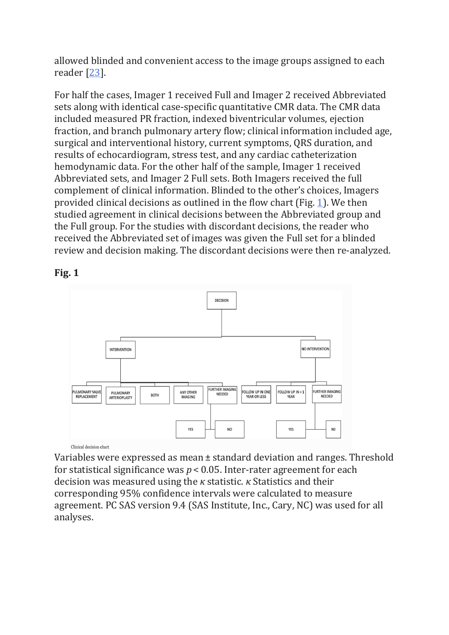allowed blinded and convenient access to the image groups assigned to each reader [\[23\]](safari-reader://link.springer.com/article/10.1007/s00246-018-2035-0#ref-CR23).

For half the cases, Imager 1 received Full and Imager 2 received Abbreviated sets along with identical case-specific quantitative CMR data. The CMR data included measured PR fraction, indexed biventricular volumes, ejection fraction, and branch pulmonary artery flow; clinical information included age, surgical and interventional history, current symptoms, QRS duration, and results of echocardiogram, stress test, and any cardiac catheterization hemodynamic data. For the other half of the sample, Imager 1 received Abbreviated sets, and Imager 2 Full sets. Both Imagers received the full complement of clinical information. Blinded to the other's choices, Imagers provided clinical decisions as outlined in the flow chart (Fig.  $\angle$ [1\)](safari-reader://link.springer.com/article/10.1007/s00246-018-2035-0#Fig1). We then studied agreement in clinical decisions between the Abbreviated group and the Full group. For the studies with discordant decisions, the reader who received the Abbreviated set of images was given the Full set for a blinded review and decision making. The discordant decisions were then re-analyzed.

**Fig. 1**



Clinical decision chart

Variables were expressed as mean ± standard deviation and ranges. Threshold for statistical significance was  $p < 0.05$ . Inter-rater agreement for each decision was measured using the *κ* statistic. *κ* Statistics and their corresponding 95% confidence intervals were calculated to measure agreement. PC SAS version 9.4 (SAS Institute, Inc., Cary, NC) was used for all analyses.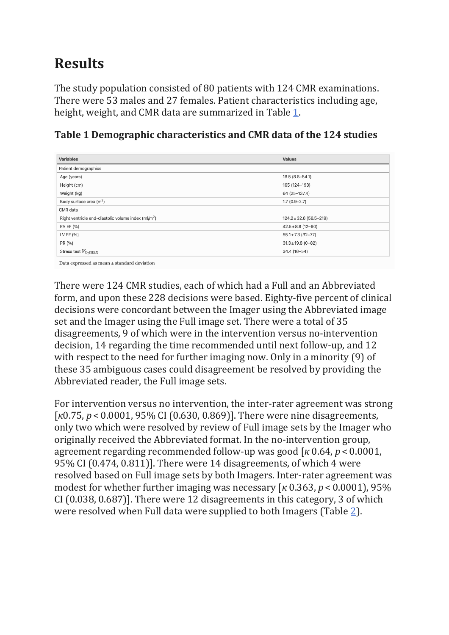# **Results**

The study population consisted of 80 patients with 124 CMR examinations. There were 53 males and 27 females. Patient characteristics including age, height, weight, and CMR data are summarized in Table [1.](safari-reader://link.springer.com/article/10.1007/s00246-018-2035-0#Tab1)

**Table 1 Demographic characteristics and CMR data of the 124 studies**

| <b>Variables</b>                                                | <b>Values</b>               |
|-----------------------------------------------------------------|-----------------------------|
| Patient demographics                                            |                             |
| Age (years)                                                     | $18.5(8.8 - 54.1)$          |
| Height (cm)                                                     | 165 (124-193)               |
| Weight (kg)                                                     | 64 (25-137.4)               |
| Body surface area $(m2)$                                        | $1.7(0.9-2.7)$              |
| CMR data                                                        |                             |
| Right ventricle end-diastolic volume index (ml/m <sup>2</sup> ) | $124.2 \pm 32.6$ (56.5-219) |
| RV EF (%)                                                       | $42.5 \pm 8.8$ (12-60)      |
| LV EF $(% )$                                                    | $55.1 \pm 7.3$ (32-77)      |
| PR (%)                                                          | $31.3 \pm 19.8$ (0-82)      |
| Stress test $V_{O_2}$ max                                       | 34.4 (16-54)                |

Data expressed as mean ± standard deviation

There were 124 CMR studies, each of which had a Full and an Abbreviated form, and upon these 228 decisions were based. Eighty-five percent of clinical decisions were concordant between the Imager using the Abbreviated image set and the Imager using the Full image set. There were a total of 35 disagreements, 9 of which were in the intervention versus no-intervention decision, 14 regarding the time recommended until next follow-up, and 12 with respect to the need for further imaging now. Only in a minority (9) of these 35 ambiguous cases could disagreement be resolved by providing the Abbreviated reader, the Full image sets.

For intervention versus no intervention, the inter-rater agreement was strong [*κ*0.75, *p* < 0.0001, 95% CI (0.630, 0.869)]. There were nine disagreements, only two which were resolved by review of Full image sets by the Imager who originally received the Abbreviated format. In the no-intervention group, agreement regarding recommended follow-up was good [*κ* 0.64, *p* < 0.0001, 95% CI (0.474, 0.811)]. There were 14 disagreements, of which 4 were resolved based on Full image sets by both Imagers. Inter-rater agreement was modest for whether further imaging was necessary [*κ* 0.363, *p* < 0.0001), 95% CI (0.038, 0.687)]. There were 12 disagreements in this category, 3 of which were resolved when Full data were supplied to both Imagers (Table [2\)](safari-reader://link.springer.com/article/10.1007/s00246-018-2035-0#Tab2).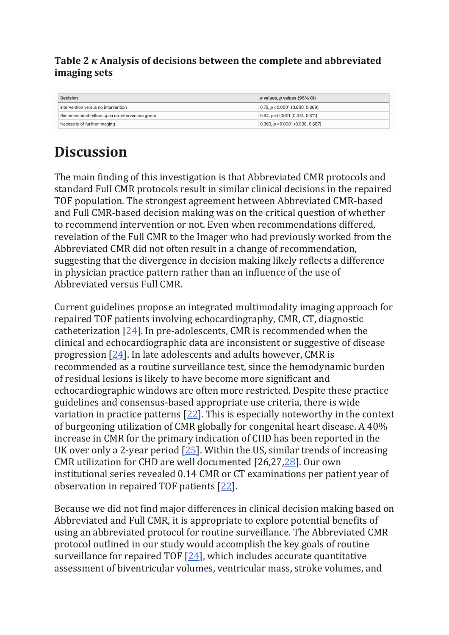## **Table 2** *κ* **Analysis of decisions between the complete and abbreviated imaging sets**

| <b>Decision</b>                                | $\kappa$ values, $\rho$ values (95% CI) |
|------------------------------------------------|-----------------------------------------|
| Intervention versus no intervention            | $0.75, p < 0.0001$ (0.630, 0.869)       |
| Recommended follow-up in no-intervention group | $0.64, p < 0.0001$ (0.474, 0.811)       |
| Necessity of further imaging                   | $0.363, p < 0.0001$ (0.038, 0.687)      |

# **Discussion**

The main finding of this investigation is that Abbreviated CMR protocols and standard Full CMR protocols result in similar clinical decisions in the repaired TOF population. The strongest agreement between Abbreviated CMR-based and Full CMR-based decision making was on the critical question of whether to recommend intervention or not. Even when recommendations differed, revelation of the Full CMR to the Imager who had previously worked from the Abbreviated CMR did not often result in a change of recommendation, suggesting that the divergence in decision making likely reflects a difference in physician practice pattern rather than an influence of the use of Abbreviated versus Full CMR.

Current guidelines propose an integrated multimodality imaging approach for repaired TOF patients involving echocardiography, CMR, CT, diagnostic catheterization  $[24]$ . In pre-adolescents, CMR is recommended when the clinical and echocardiographic data are inconsistent or suggestive of disease progression [\[24\]](safari-reader://link.springer.com/article/10.1007/s00246-018-2035-0#ref-CR24). In late adolescents and adults however, CMR is recommended as a routine surveillance test, since the hemodynamic burden of residual lesions is likely to have become more significant and echocardiographic windows are often more restricted. Despite these practice guidelines and consensus-based appropriate use criteria, there is wide variation in practice patterns  $[22]$ . This is especially noteworthy in the context of burgeoning utilization of CMR globally for congenital heart disease. A 40% increase in CMR for the primary indication of CHD has been reported in the UK over only a 2-year period [\[25\]](safari-reader://link.springer.com/article/10.1007/s00246-018-2035-0#ref-CR25). Within the US, similar trends of increasing CMR utilization for CHD are well documented [26,2[7,28\]](safari-reader://link.springer.com/article/10.1007/s00246-018-2035-0#ref-CR28). Our own institutional series revealed 0.14 CMR or CT examinations per patient year of observation in repaired TOF patients [\[22\]](safari-reader://link.springer.com/article/10.1007/s00246-018-2035-0#ref-CR22).

Because we did not find major differences in clinical decision making based on Abbreviated and Full CMR, it is appropriate to explore potential benefits of using an abbreviated protocol for routine surveillance. The Abbreviated CMR protocol outlined in our study would accomplish the key goals of routine surveillance for repaired TOF [\[24\]](safari-reader://link.springer.com/article/10.1007/s00246-018-2035-0#ref-CR24), which includes accurate quantitative assessment of biventricular volumes, ventricular mass, stroke volumes, and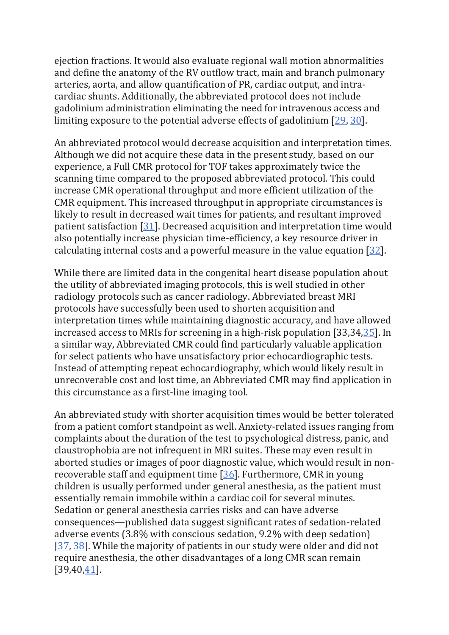ejection fractions. It would also evaluate regional wall motion abnormalities and define the anatomy of the RV outflow tract, main and branch pulmonary arteries, aorta, and allow quantification of PR, cardiac output, and intracardiac shunts. Additionally, the abbreviated protocol does not include gadolinium administration eliminating the need for intravenous access and limiting exposure to the potential adverse effects of gadolinium [\[29,](safari-reader://link.springer.com/article/10.1007/s00246-018-2035-0#ref-CR29) [30\]](safari-reader://link.springer.com/article/10.1007/s00246-018-2035-0#ref-CR30).

An abbreviated protocol would decrease acquisition and interpretation times. Although we did not acquire these data in the present study, based on our experience, a Full CMR protocol for TOF takes approximately twice the scanning time compared to the proposed abbreviated protocol. This could increase CMR operational throughput and more efficient utilization of the CMR equipment. This increased throughput in appropriate circumstances is likely to result in decreased wait times for patients, and resultant improved patient satisfaction [\[31\]](safari-reader://link.springer.com/article/10.1007/s00246-018-2035-0#ref-CR31). Decreased acquisition and interpretation time would also potentially increase physician time-efficiency, a key resource driver in calculating internal costs and a powerful measure in the value equation [\[32\]](safari-reader://link.springer.com/article/10.1007/s00246-018-2035-0#ref-CR32).

While there are limited data in the congenital heart disease population about the utility of abbreviated imaging protocols, this is well studied in other radiology protocols such as cancer radiology. Abbreviated breast MRI protocols have successfully been used to shorten acquisition and interpretation times while maintaining diagnostic accuracy, and have allowed increased access to MRIs for screening in a high-risk population [33,34[,35\]](safari-reader://link.springer.com/article/10.1007/s00246-018-2035-0#ref-CR35). In a similar way, Abbreviated CMR could find particularly valuable application for select patients who have unsatisfactory prior echocardiographic tests. Instead of attempting repeat echocardiography, which would likely result in unrecoverable cost and lost time, an Abbreviated CMR may find application in this circumstance as a first-line imaging tool.

An abbreviated study with shorter acquisition times would be better tolerated from a patient comfort standpoint as well. Anxiety-related issues ranging from complaints about the duration of the test to psychological distress, panic, and claustrophobia are not infrequent in MRI suites. These may even result in aborted studies or images of poor diagnostic value, which would result in nonrecoverable staff and equipment time [\[36\]](safari-reader://link.springer.com/article/10.1007/s00246-018-2035-0#ref-CR36). Furthermore, CMR in young children is usually performed under general anesthesia, as the patient must essentially remain immobile within a cardiac coil for several minutes. Sedation or general anesthesia carries risks and can have adverse consequences—published data suggest significant rates of sedation-related adverse events (3.8% with conscious sedation, 9.2% with deep sedation) [\[37,](safari-reader://link.springer.com/article/10.1007/s00246-018-2035-0#ref-CR37) [38\]](safari-reader://link.springer.com/article/10.1007/s00246-018-2035-0#ref-CR38). While the majority of patients in our study were older and did not require anesthesia, the other disadvantages of a long CMR scan remain  $[39,40,41]$  $[39,40,41]$ .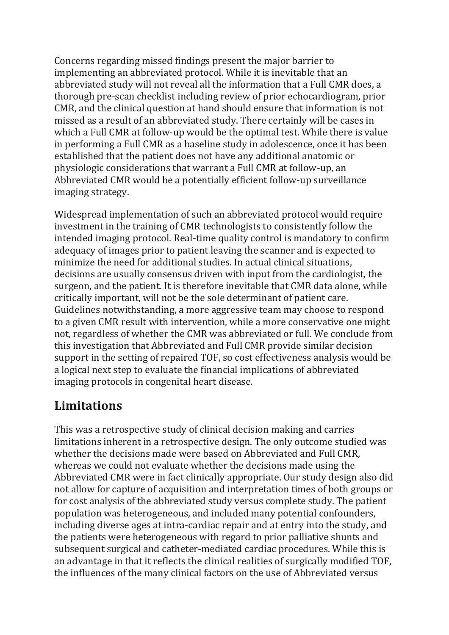Concerns regarding missed findings present the major barrier to implementing an abbreviated protocol. While it is inevitable that an abbreviated study will not reveal all the information that a Full CMR does, a thorough pre-scan checklist including review of prior echocardiogram, prior CMR, and the clinical question at hand should ensure that information is not missed as a result of an abbreviated study. There certainly will be cases in which a Full CMR at follow-up would be the optimal test. While there is value in performing a Full CMR as a baseline study in adolescence, once it has been established that the patient does not have any additional anatomic or physiologic considerations that warrant a Full CMR at follow-up, an Abbreviated CMR would be a potentially efficient follow-up surveillance imaging strategy.

Widespread implementation of such an abbreviated protocol would require investment in the training of CMR technologists to consistently follow the intended imaging protocol. Real-time quality control is mandatory to confirm adequacy of images prior to patient leaving the scanner and is expected to minimize the need for additional studies. In actual clinical situations, decisions are usually consensus driven with input from the cardiologist, the surgeon, and the patient. It is therefore inevitable that CMR data alone, while critically important, will not be the sole determinant of patient care. Guidelines notwithstanding, a more aggressive team may choose to respond to a given CMR result with intervention, while a more conservative one might not, regardless of whether the CMR was abbreviated or full. We conclude from this investigation that Abbreviated and Full CMR provide similar decision support in the setting of repaired TOF, so cost effectiveness analysis would be a logical next step to evaluate the financial implications of abbreviated imaging protocols in congenital heart disease.

# **Limitations**

This was a retrospective study of clinical decision making and carries limitations inherent in a retrospective design. The only outcome studied was whether the decisions made were based on Abbreviated and Full CMR, whereas we could not evaluate whether the decisions made using the Abbreviated CMR were in fact clinically appropriate. Our study design also did not allow for capture of acquisition and interpretation times of both groups or for cost analysis of the abbreviated study versus complete study. The patient population was heterogeneous, and included many potential confounders, including diverse ages at intra-cardiac repair and at entry into the study, and the patients were heterogeneous with regard to prior palliative shunts and subsequent surgical and catheter-mediated cardiac procedures. While this is an advantage in that it reflects the clinical realities of surgically modified TOF, the influences of the many clinical factors on the use of Abbreviated versus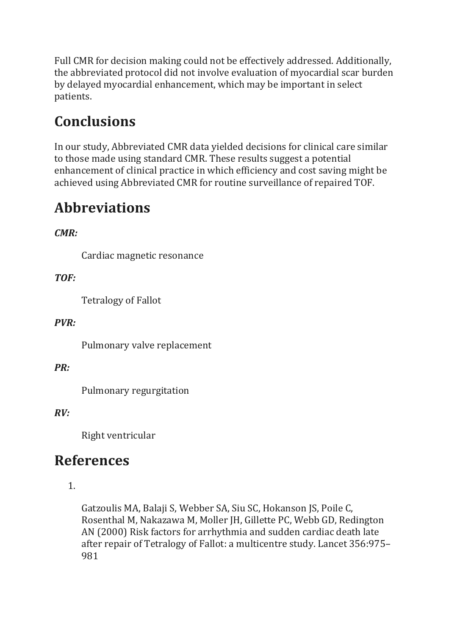Full CMR for decision making could not be effectively addressed. Additionally, the abbreviated protocol did not involve evaluation of myocardial scar burden by delayed myocardial enhancement, which may be important in select patients.

# **Conclusions**

In our study, Abbreviated CMR data yielded decisions for clinical care similar to those made using standard CMR. These results suggest a potential enhancement of clinical practice in which efficiency and cost saving might be achieved using Abbreviated CMR for routine surveillance of repaired TOF.

# **Abbreviations**

*CMR:*

Cardiac magnetic resonance

# *TOF:*

Tetralogy of Fallot

## *PVR:*

Pulmonary valve replacement

## *PR:*

Pulmonary regurgitation

# *RV:*

Right ventricular

# **References**

## 1.

Gatzoulis MA, Balaji S, Webber SA, Siu SC, Hokanson JS, Poile C, Rosenthal M, Nakazawa M, Moller JH, Gillette PC, Webb GD, Redington AN (2000) Risk factors for arrhythmia and sudden cardiac death late after repair of Tetralogy of Fallot: a multicentre study. Lancet 356:975– 981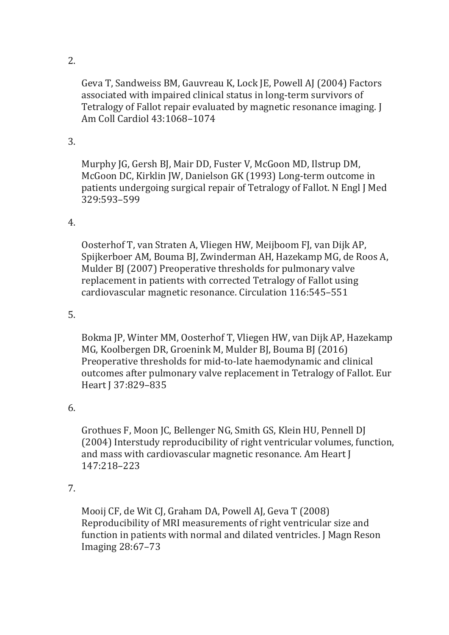#### 2.

Geva T, Sandweiss BM, Gauvreau K, Lock JE, Powell AJ (2004) Factors associated with impaired clinical status in long-term survivors of Tetralogy of Fallot repair evaluated by magnetic resonance imaging. J Am Coll Cardiol 43:1068–1074

#### 3.

Murphy JG, Gersh BJ, Mair DD, Fuster V, McGoon MD, Ilstrup DM, McGoon DC, Kirklin JW, Danielson GK (1993) Long-term outcome in patients undergoing surgical repair of Tetralogy of Fallot. N Engl J Med 329:593–599

## 4.

Oosterhof T, van Straten A, Vliegen HW, Meijboom FJ, van Dijk AP, Spijkerboer AM, Bouma BJ, Zwinderman AH, Hazekamp MG, de Roos A, Mulder BJ (2007) Preoperative thresholds for pulmonary valve replacement in patients with corrected Tetralogy of Fallot using cardiovascular magnetic resonance. Circulation 116:545–551

#### 5.

Bokma JP, Winter MM, Oosterhof T, Vliegen HW, van Dijk AP, Hazekamp MG, Koolbergen DR, Groenink M, Mulder BJ, Bouma BJ (2016) Preoperative thresholds for mid-to-late haemodynamic and clinical outcomes after pulmonary valve replacement in Tetralogy of Fallot. Eur Heart J 37:829–835

#### 6.

Grothues F, Moon JC, Bellenger NG, Smith GS, Klein HU, Pennell DJ (2004) Interstudy reproducibility of right ventricular volumes, function, and mass with cardiovascular magnetic resonance. Am Heart J 147:218–223

## 7.

Mooij CF, de Wit CJ, Graham DA, Powell AJ, Geva T (2008) Reproducibility of MRI measurements of right ventricular size and function in patients with normal and dilated ventricles. J Magn Reson Imaging 28:67–73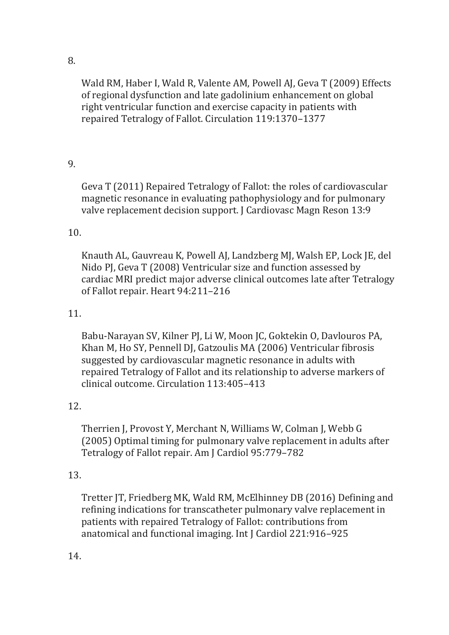#### 8.

Wald RM, Haber I, Wald R, Valente AM, Powell AJ, Geva T (2009) Effects of regional dysfunction and late gadolinium enhancement on global right ventricular function and exercise capacity in patients with repaired Tetralogy of Fallot. Circulation 119:1370–1377

# 9.

Geva T (2011) Repaired Tetralogy of Fallot: the roles of cardiovascular magnetic resonance in evaluating pathophysiology and for pulmonary valve replacement decision support. J Cardiovasc Magn Reson 13:9

## 10.

Knauth AL, Gauvreau K, Powell AJ, Landzberg MJ, Walsh EP, Lock JE, del Nido PJ, Geva T (2008) Ventricular size and function assessed by cardiac MRI predict major adverse clinical outcomes late after Tetralogy of Fallot repair. Heart 94:211–216

## 11.

Babu-Narayan SV, Kilner PJ, Li W, Moon JC, Goktekin O, Davlouros PA, Khan M, Ho SY, Pennell DJ, Gatzoulis MA (2006) Ventricular fibrosis suggested by cardiovascular magnetic resonance in adults with repaired Tetralogy of Fallot and its relationship to adverse markers of clinical outcome. Circulation 113:405–413

## 12.

Therrien J, Provost Y, Merchant N, Williams W, Colman J, Webb G (2005) Optimal timing for pulmonary valve replacement in adults after Tetralogy of Fallot repair. Am J Cardiol 95:779–782

## 13.

Tretter JT, Friedberg MK, Wald RM, McElhinney DB (2016) Defining and refining indications for transcatheter pulmonary valve replacement in patients with repaired Tetralogy of Fallot: contributions from anatomical and functional imaging. Int J Cardiol 221:916–925

14.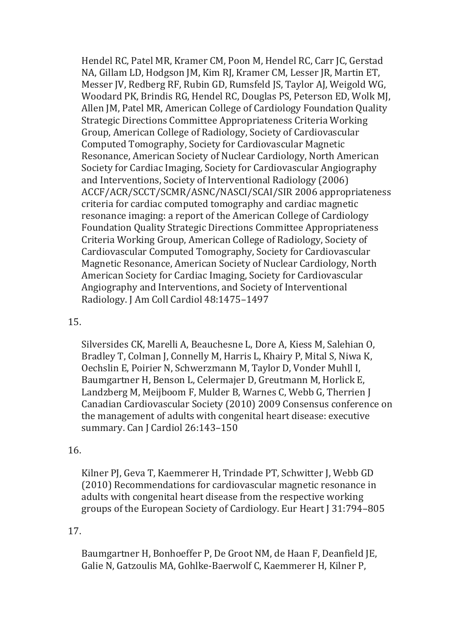Hendel RC, Patel MR, Kramer CM, Poon M, Hendel RC, Carr JC, Gerstad NA, Gillam LD, Hodgson JM, Kim RJ, Kramer CM, Lesser JR, Martin ET, Messer JV, Redberg RF, Rubin GD, Rumsfeld JS, Taylor AJ, Weigold WG, Woodard PK, Brindis RG, Hendel RC, Douglas PS, Peterson ED, Wolk MJ, Allen JM, Patel MR, American College of Cardiology Foundation Quality Strategic Directions Committee Appropriateness Criteria Working Group, American College of Radiology, Society of Cardiovascular Computed Tomography, Society for Cardiovascular Magnetic Resonance, American Society of Nuclear Cardiology, North American Society for Cardiac Imaging, Society for Cardiovascular Angiography and Interventions, Society of Interventional Radiology (2006) ACCF/ACR/SCCT/SCMR/ASNC/NASCI/SCAI/SIR 2006 appropriateness criteria for cardiac computed tomography and cardiac magnetic resonance imaging: a report of the American College of Cardiology Foundation Quality Strategic Directions Committee Appropriateness Criteria Working Group, American College of Radiology, Society of Cardiovascular Computed Tomography, Society for Cardiovascular Magnetic Resonance, American Society of Nuclear Cardiology, North American Society for Cardiac Imaging, Society for Cardiovascular Angiography and Interventions, and Society of Interventional Radiology. J Am Coll Cardiol 48:1475–1497

#### 15.

Silversides CK, Marelli A, Beauchesne L, Dore A, Kiess M, Salehian O, Bradley T, Colman J, Connelly M, Harris L, Khairy P, Mital S, Niwa K, Oechslin E, Poirier N, Schwerzmann M, Taylor D, Vonder Muhll I, Baumgartner H, Benson L, Celermajer D, Greutmann M, Horlick E, Landzberg M, Meijboom F, Mulder B, Warnes C, Webb G, Therrien J Canadian Cardiovascular Society (2010) 2009 Consensus conference on the management of adults with congenital heart disease: executive summary. Can J Cardiol 26:143–150

#### 16.

Kilner PJ, Geva T, Kaemmerer H, Trindade PT, Schwitter J, Webb GD (2010) Recommendations for cardiovascular magnetic resonance in adults with congenital heart disease from the respective working groups of the European Society of Cardiology. Eur Heart J 31:794–805

#### 17.

Baumgartner H, Bonhoeffer P, De Groot NM, de Haan F, Deanfield JE, Galie N, Gatzoulis MA, Gohlke-Baerwolf C, Kaemmerer H, Kilner P,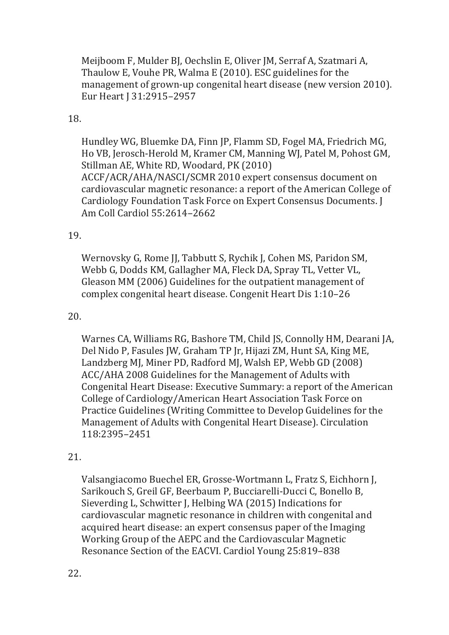Meijboom F, Mulder BJ, Oechslin E, Oliver JM, Serraf A, Szatmari A, Thaulow E, Vouhe PR, Walma E (2010). ESC guidelines for the management of grown-up congenital heart disease (new version 2010). Eur Heart J 31:2915–2957

#### 18.

Hundley WG, Bluemke DA, Finn JP, Flamm SD, Fogel MA, Friedrich MG, Ho VB, Jerosch-Herold M, Kramer CM, Manning WJ, Patel M, Pohost GM, Stillman AE, White RD, Woodard, PK (2010) ACCF/ACR/AHA/NASCI/SCMR 2010 expert consensus document on cardiovascular magnetic resonance: a report of the American College of Cardiology Foundation Task Force on Expert Consensus Documents. J Am Coll Cardiol 55:2614–2662

#### 19.

Wernovsky G, Rome JJ, Tabbutt S, Rychik J, Cohen MS, Paridon SM, Webb G, Dodds KM, Gallagher MA, Fleck DA, Spray TL, Vetter VL, Gleason MM (2006) Guidelines for the outpatient management of complex congenital heart disease. Congenit Heart Dis 1:10–26

#### 20.

Warnes CA, Williams RG, Bashore TM, Child JS, Connolly HM, Dearani JA, Del Nido P, Fasules JW, Graham TP Jr, Hijazi ZM, Hunt SA, King ME, Landzberg MJ, Miner PD, Radford MJ, Walsh EP, Webb GD (2008) ACC/AHA 2008 Guidelines for the Management of Adults with Congenital Heart Disease: Executive Summary: a report of the American College of Cardiology/American Heart Association Task Force on Practice Guidelines (Writing Committee to Develop Guidelines for the Management of Adults with Congenital Heart Disease). Circulation 118:2395–2451

#### 21.

Valsangiacomo Buechel ER, Grosse-Wortmann L, Fratz S, Eichhorn J, Sarikouch S, Greil GF, Beerbaum P, Bucciarelli-Ducci C, Bonello B, Sieverding L, Schwitter J, Helbing WA (2015) Indications for cardiovascular magnetic resonance in children with congenital and acquired heart disease: an expert consensus paper of the Imaging Working Group of the AEPC and the Cardiovascular Magnetic Resonance Section of the EACVI. Cardiol Young 25:819–838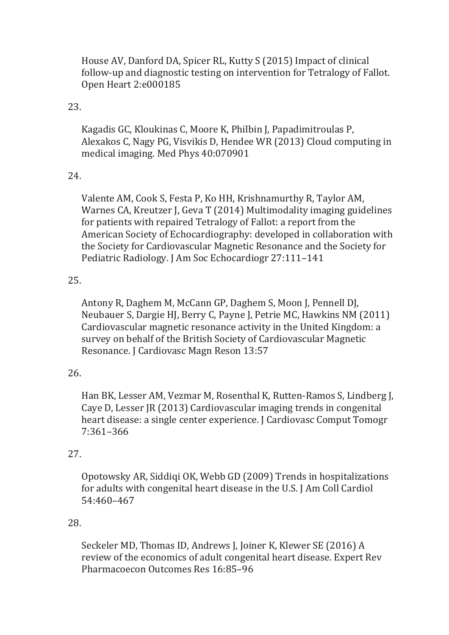House AV, Danford DA, Spicer RL, Kutty S (2015) Impact of clinical follow-up and diagnostic testing on intervention for Tetralogy of Fallot. Open Heart 2:e000185

#### 23.

Kagadis GC, Kloukinas C, Moore K, Philbin J, Papadimitroulas P, Alexakos C, Nagy PG, Visvikis D, Hendee WR (2013) Cloud computing in medical imaging. Med Phys 40:070901

#### 24.

Valente AM, Cook S, Festa P, Ko HH, Krishnamurthy R, Taylor AM, Warnes CA, Kreutzer J, Geva T (2014) Multimodality imaging guidelines for patients with repaired Tetralogy of Fallot: a report from the American Society of Echocardiography: developed in collaboration with the Society for Cardiovascular Magnetic Resonance and the Society for Pediatric Radiology. J Am Soc Echocardiogr 27:111–141

#### 25.

Antony R, Daghem M, McCann GP, Daghem S, Moon J, Pennell DJ, Neubauer S, Dargie HJ, Berry C, Payne J, Petrie MC, Hawkins NM (2011) Cardiovascular magnetic resonance activity in the United Kingdom: a survey on behalf of the British Society of Cardiovascular Magnetic Resonance. J Cardiovasc Magn Reson 13:57

## 26.

Han BK, Lesser AM, Vezmar M, Rosenthal K, Rutten-Ramos S, Lindberg J, Caye D, Lesser JR (2013) Cardiovascular imaging trends in congenital heart disease: a single center experience. J Cardiovasc Comput Tomogr 7:361–366

#### 27.

Opotowsky AR, Siddiqi OK, Webb GD (2009) Trends in hospitalizations for adults with congenital heart disease in the U.S. J Am Coll Cardiol 54:460–467

#### 28.

Seckeler MD, Thomas ID, Andrews J, Joiner K, Klewer SE (2016) A review of the economics of adult congenital heart disease. Expert Rev Pharmacoecon Outcomes Res 16:85–96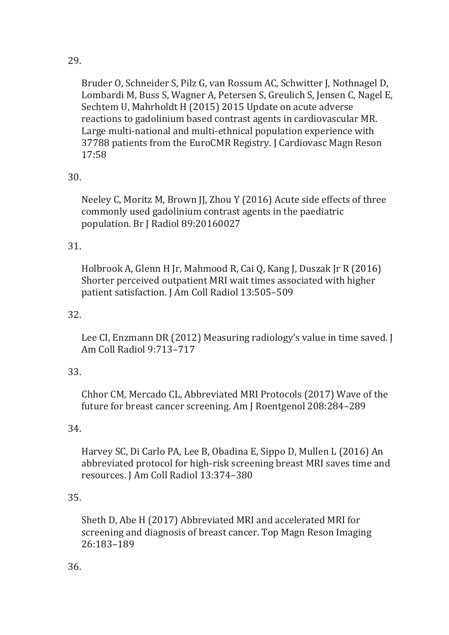29.

Bruder O, Schneider S, Pilz G, van Rossum AC, Schwitter J, Nothnagel D, Lombardi M, Buss S, Wagner A, Petersen S, Greulich S, Jensen C, Nagel E, Sechtem U, Mahrholdt H (2015) 2015 Update on acute adverse reactions to gadolinium based contrast agents in cardiovascular MR. Large multi-national and multi-ethnical population experience with 37788 patients from the EuroCMR Registry. J Cardiovasc Magn Reson 17:58

# 30.

Neeley C, Moritz M, Brown JJ, Zhou Y (2016) Acute side effects of three commonly used gadolinium contrast agents in the paediatric population. Br J Radiol 89:20160027

# 31.

Holbrook A, Glenn H Jr, Mahmood R, Cai Q, Kang J, Duszak Jr R (2016) Shorter perceived outpatient MRI wait times associated with higher patient satisfaction. J Am Coll Radiol 13:505–509

## 32.

Lee CI, Enzmann DR (2012) Measuring radiology's value in time saved. J Am Coll Radiol 9:713–717

## 33.

Chhor CM, Mercado CL, Abbreviated MRI Protocols (2017) Wave of the future for breast cancer screening. Am J Roentgenol 208:284–289

## 34.

Harvey SC, Di Carlo PA, Lee B, Obadina E, Sippo D, Mullen L (2016) An abbreviated protocol for high-risk screening breast MRI saves time and resources. J Am Coll Radiol 13:374–380

## 35.

Sheth D, Abe H (2017) Abbreviated MRI and accelerated MRI for screening and diagnosis of breast cancer. Top Magn Reson Imaging 26:183–189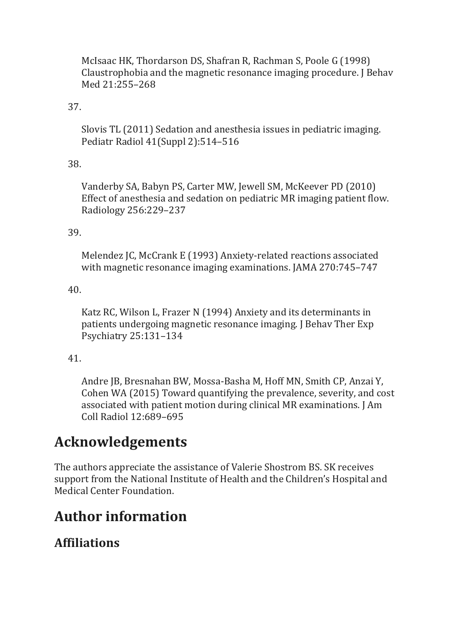McIsaac HK, Thordarson DS, Shafran R, Rachman S, Poole G (1998) Claustrophobia and the magnetic resonance imaging procedure. J Behav Med 21:255–268

## 37.

Slovis TL (2011) Sedation and anesthesia issues in pediatric imaging. Pediatr Radiol 41(Suppl 2):514–516

#### 38.

Vanderby SA, Babyn PS, Carter MW, Jewell SM, McKeever PD (2010) Effect of anesthesia and sedation on pediatric MR imaging patient flow. Radiology 256:229–237

#### 39.

Melendez JC, McCrank E (1993) Anxiety-related reactions associated with magnetic resonance imaging examinations. JAMA 270:745–747

#### 40.

Katz RC, Wilson L, Frazer N (1994) Anxiety and its determinants in patients undergoing magnetic resonance imaging. J Behav Ther Exp Psychiatry 25:131–134

## 41.

Andre JB, Bresnahan BW, Mossa-Basha M, Hoff MN, Smith CP, Anzai Y, Cohen WA (2015) Toward quantifying the prevalence, severity, and cost associated with patient motion during clinical MR examinations. J Am Coll Radiol 12:689–695

# **Acknowledgements**

The authors appreciate the assistance of Valerie Shostrom BS. SK receives support from the National Institute of Health and the Children's Hospital and Medical Center Foundation.

# **Author information**

# **Affiliations**